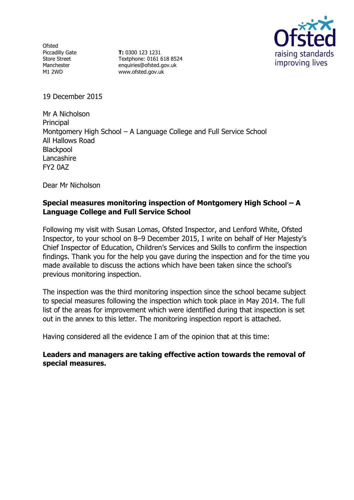**Ofsted** Piccadilly Gate Store Street Manchester M1 2WD

**T:** 0300 123 1231 Textphone: 0161 618 8524 enquiries@ofsted.gov.uk www.ofsted.gov.uk



19 December 2015

Mr A Nicholson **Principal** Montgomery High School – A Language College and Full Service School All Hallows Road Blackpool **Lancashire** FY2 0AZ

Dear Mr Nicholson

# **Special measures monitoring inspection of Montgomery High School – A Language College and Full Service School**

Following my visit with Susan Lomas, Ofsted Inspector, and Lenford White, Ofsted Inspector, to your school on 8–9 December 2015, I write on behalf of Her Majesty's Chief Inspector of Education, Children's Services and Skills to confirm the inspection findings. Thank you for the help you gave during the inspection and for the time you made available to discuss the actions which have been taken since the school's previous monitoring inspection.

The inspection was the third monitoring inspection since the school became subject to special measures following the inspection which took place in May 2014. The full list of the areas for improvement which were identified during that inspection is set out in the annex to this letter. The monitoring inspection report is attached.

Having considered all the evidence I am of the opinion that at this time:

### **Leaders and managers are taking effective action towards the removal of special measures.**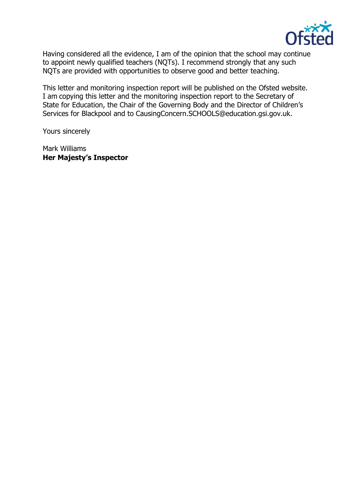

Having considered all the evidence, I am of the opinion that the school may continue to appoint newly qualified teachers (NQTs). I recommend strongly that any such NQTs are provided with opportunities to observe good and better teaching.

This letter and monitoring inspection report will be published on the Ofsted website. I am copying this letter and the monitoring inspection report to the Secretary of State for Education, the Chair of the Governing Body and the Director of Children's Services for Blackpool and to [CausingConcern.SCHOOLS@education.gsi.gov.uk.](mailto:CausingConcern.SCHOOLS@education.gsi.gov.uk)

Yours sincerely

Mark Williams **Her Majesty's Inspector**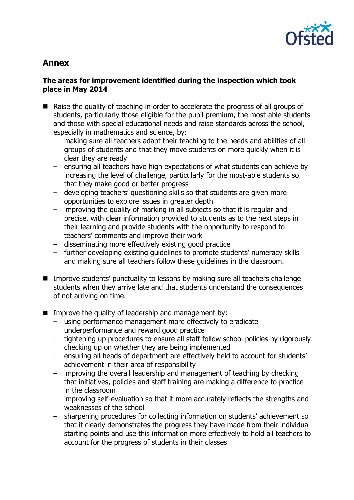

# **Annex**

# **The areas for improvement identified during the inspection which took place in May 2014**

- Raise the quality of teaching in order to accelerate the progress of all groups of students, particularly those eligible for the pupil premium, the most-able students and those with special educational needs and raise standards across the school, especially in mathematics and science, by:
	- making sure all teachers adapt their teaching to the needs and abilities of all groups of students and that they move students on more quickly when it is clear they are ready
	- ensuring all teachers have high expectations of what students can achieve by increasing the level of challenge, particularly for the most-able students so that they make good or better progress
	- developing teachers' questioning skills so that students are given more opportunities to explore issues in greater depth
	- improving the quality of marking in all subjects so that it is regular and precise, with clear information provided to students as to the next steps in their learning and provide students with the opportunity to respond to teachers' comments and improve their work
	- disseminating more effectively existing good practice
	- further developing existing guidelines to promote students' numeracy skills and making sure all teachers follow these guidelines in the classroom.
- Improve students' punctuality to lessons by making sure all teachers challenge students when they arrive late and that students understand the consequences of not arriving on time.
- Improve the quality of leadership and management by:
	- using performance management more effectively to eradicate underperformance and reward good practice
	- tightening up procedures to ensure all staff follow school policies by rigorously checking up on whether they are being implemented
	- ensuring all heads of department are effectively held to account for students' achievement in their area of responsibility
	- improving the overall leadership and management of teaching by checking that initiatives, policies and staff training are making a difference to practice in the classroom
	- improving self-evaluation so that it more accurately reflects the strengths and weaknesses of the school
	- sharpening procedures for collecting information on students' achievement so that it clearly demonstrates the progress they have made from their individual starting points and use this information more effectively to hold all teachers to account for the progress of students in their classes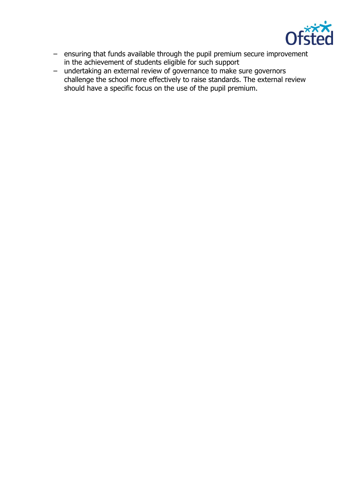

- ensuring that funds available through the pupil premium secure improvement in the achievement of students eligible for such support
- undertaking an external review of governance to make sure governors challenge the school more effectively to raise standards. The external review should have a specific focus on the use of the pupil premium.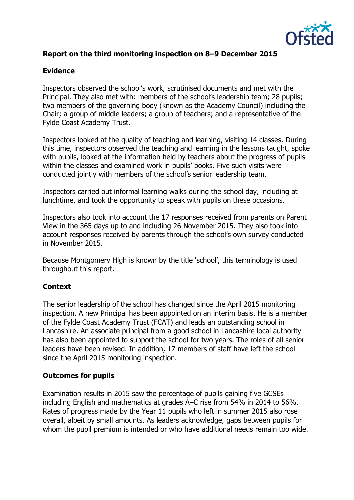

# **Report on the third monitoring inspection on 8–9 December 2015**

#### **Evidence**

Inspectors observed the school's work, scrutinised documents and met with the Principal. They also met with: members of the school's leadership team; 28 pupils; two members of the governing body (known as the Academy Council) including the Chair; a group of middle leaders; a group of teachers; and a representative of the Fylde Coast Academy Trust.

Inspectors looked at the quality of teaching and learning, visiting 14 classes. During this time, inspectors observed the teaching and learning in the lessons taught, spoke with pupils, looked at the information held by teachers about the progress of pupils within the classes and examined work in pupils' books. Five such visits were conducted jointly with members of the school's senior leadership team.

Inspectors carried out informal learning walks during the school day, including at lunchtime, and took the opportunity to speak with pupils on these occasions.

Inspectors also took into account the 17 responses received from parents on Parent View in the 365 days up to and including 26 November 2015. They also took into account responses received by parents through the school's own survey conducted in November 2015.

Because Montgomery High is known by the title 'school', this terminology is used throughout this report.

### **Context**

The senior leadership of the school has changed since the April 2015 monitoring inspection. A new Principal has been appointed on an interim basis. He is a member of the Fylde Coast Academy Trust (FCAT) and leads an outstanding school in Lancashire. An associate principal from a good school in Lancashire local authority has also been appointed to support the school for two years. The roles of all senior leaders have been revised. In addition, 17 members of staff have left the school since the April 2015 monitoring inspection.

#### **Outcomes for pupils**

Examination results in 2015 saw the percentage of pupils gaining five GCSEs including English and mathematics at grades A–C rise from 54% in 2014 to 56%. Rates of progress made by the Year 11 pupils who left in summer 2015 also rose overall, albeit by small amounts. As leaders acknowledge, gaps between pupils for whom the pupil premium is intended or who have additional needs remain too wide.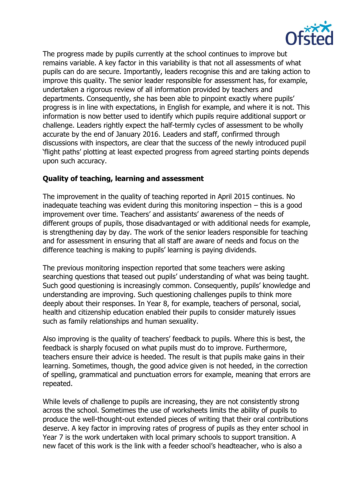

The progress made by pupils currently at the school continues to improve but remains variable. A key factor in this variability is that not all assessments of what pupils can do are secure. Importantly, leaders recognise this and are taking action to improve this quality. The senior leader responsible for assessment has, for example, undertaken a rigorous review of all information provided by teachers and departments. Consequently, she has been able to pinpoint exactly where pupils' progress is in line with expectations, in English for example, and where it is not. This information is now better used to identify which pupils require additional support or challenge. Leaders rightly expect the half-termly cycles of assessment to be wholly accurate by the end of January 2016. Leaders and staff, confirmed through discussions with inspectors, are clear that the success of the newly introduced pupil 'flight paths' plotting at least expected progress from agreed starting points depends upon such accuracy.

# **Quality of teaching, learning and assessment**

The improvement in the quality of teaching reported in April 2015 continues. No inadequate teaching was evident during this monitoring inspection – this is a good improvement over time. Teachers' and assistants' awareness of the needs of different groups of pupils, those disadvantaged or with additional needs for example, is strengthening day by day. The work of the senior leaders responsible for teaching and for assessment in ensuring that all staff are aware of needs and focus on the difference teaching is making to pupils' learning is paying dividends.

The previous monitoring inspection reported that some teachers were asking searching questions that teased out pupils' understanding of what was being taught. Such good questioning is increasingly common. Consequently, pupils' knowledge and understanding are improving. Such questioning challenges pupils to think more deeply about their responses. In Year 8, for example, teachers of personal, social, health and citizenship education enabled their pupils to consider maturely issues such as family relationships and human sexuality.

Also improving is the quality of teachers' feedback to pupils. Where this is best, the feedback is sharply focused on what pupils must do to improve. Furthermore, teachers ensure their advice is heeded. The result is that pupils make gains in their learning. Sometimes, though, the good advice given is not heeded, in the correction of spelling, grammatical and punctuation errors for example, meaning that errors are repeated.

While levels of challenge to pupils are increasing, they are not consistently strong across the school. Sometimes the use of worksheets limits the ability of pupils to produce the well-thought-out extended pieces of writing that their oral contributions deserve. A key factor in improving rates of progress of pupils as they enter school in Year 7 is the work undertaken with local primary schools to support transition. A new facet of this work is the link with a feeder school's headteacher, who is also a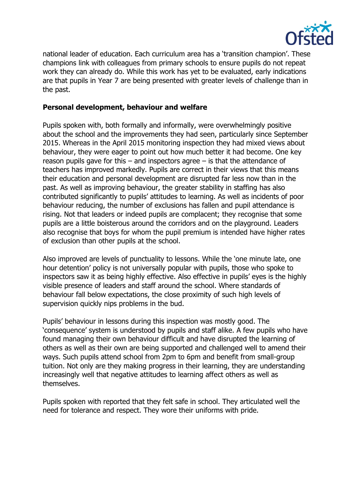

national leader of education. Each curriculum area has a 'transition champion'. These champions link with colleagues from primary schools to ensure pupils do not repeat work they can already do. While this work has yet to be evaluated, early indications are that pupils in Year 7 are being presented with greater levels of challenge than in the past.

#### **Personal development, behaviour and welfare**

Pupils spoken with, both formally and informally, were overwhelmingly positive about the school and the improvements they had seen, particularly since September 2015. Whereas in the April 2015 monitoring inspection they had mixed views about behaviour, they were eager to point out how much better it had become. One key reason pupils gave for this  $-$  and inspectors agree  $-$  is that the attendance of teachers has improved markedly. Pupils are correct in their views that this means their education and personal development are disrupted far less now than in the past. As well as improving behaviour, the greater stability in staffing has also contributed significantly to pupils' attitudes to learning. As well as incidents of poor behaviour reducing, the number of exclusions has fallen and pupil attendance is rising. Not that leaders or indeed pupils are complacent; they recognise that some pupils are a little boisterous around the corridors and on the playground. Leaders also recognise that boys for whom the pupil premium is intended have higher rates of exclusion than other pupils at the school.

Also improved are levels of punctuality to lessons. While the 'one minute late, one hour detention' policy is not universally popular with pupils, those who spoke to inspectors saw it as being highly effective. Also effective in pupils' eyes is the highly visible presence of leaders and staff around the school. Where standards of behaviour fall below expectations, the close proximity of such high levels of supervision quickly nips problems in the bud.

Pupils' behaviour in lessons during this inspection was mostly good. The 'consequence' system is understood by pupils and staff alike. A few pupils who have found managing their own behaviour difficult and have disrupted the learning of others as well as their own are being supported and challenged well to amend their ways. Such pupils attend school from 2pm to 6pm and benefit from small-group tuition. Not only are they making progress in their learning, they are understanding increasingly well that negative attitudes to learning affect others as well as themselves.

Pupils spoken with reported that they felt safe in school. They articulated well the need for tolerance and respect. They wore their uniforms with pride.